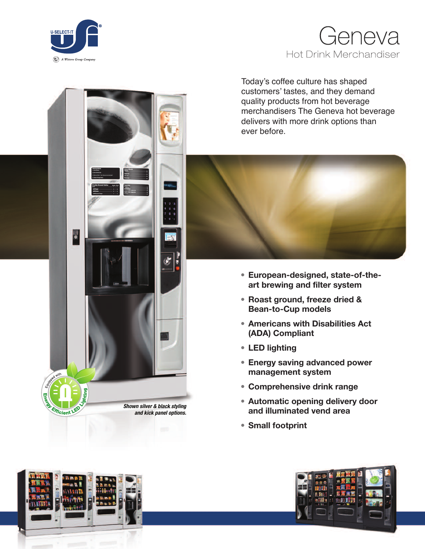

Today's coffee culture has shaped customers' tastes, and they demand quality products from hot beverage merchandisers The Geneva hot beverage delivers with more drink options than ever before.



- **• European-designed, state-of-theart brewing and filter system**
- **• Roast ground, freeze dried & Bean-to-Cup models**
- **• Americans with Disabilities Act (ADA) Compliant**
- **• LED lighting**
- **• Energy saving advanced power management system**
- **• Comprehensive drink range**
- **• Automatic opening delivery door and illuminated vend area**
- **• Small footprint**